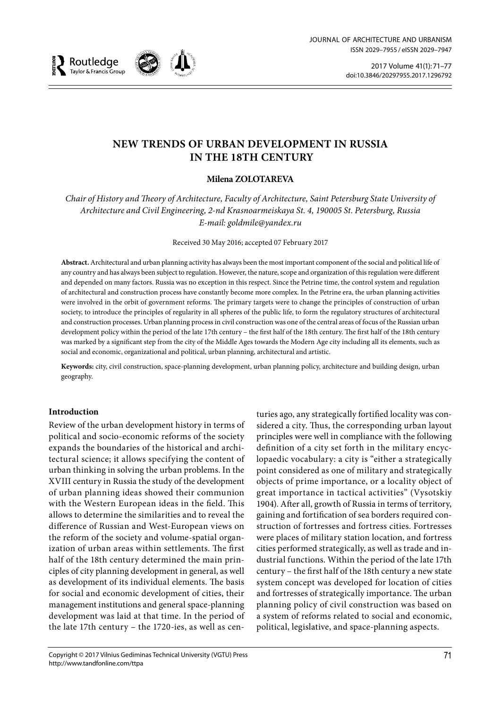

2017 Volume 41(1):71–77 [doi:10.3846/20297955.2017.1296792](https://doi.org/10.3846/20297955.2017.1296792)

# **New Trends of Urban Development in Russia in the 18th Century**

# **Milena ZOLOTAREVA**

*Chair of History and Theory of Architecture, Faculty of Architecture, Saint Petersburg State University of Architecture and Civil Engineering, 2-nd Krasnoarmeiskaya St. 4, 190005 St. Petersburg, Russia E-mail: goldmile@yandex.ru*

Received 30 May 2016; accepted 07 February 2017

**Abstract.** Architectural and urban planning activity has always been the most important component of the social and political life of any country and has always been subject to regulation. However, the nature, scope and organization of this regulation were different and depended on many factors. Russia was no exception in this respect. Since the Petrine time, the control system and regulation of architectural and construction process have constantly become more complex. In the Petrine era, the urban planning activities were involved in the orbit of government reforms. The primary targets were to change the principles of construction of urban society, to introduce the principles of regularity in all spheres of the public life, to form the regulatory structures of architectural and construction processes. Urban planning process in civil construction was one of the central areas of focus of the Russian urban development policy within the period of the late 17th century – the first half of the 18th century. The first half of the 18th century was marked by a significant step from the city of the Middle Ages towards the Modern Age city including all its elements, such as social and economic, organizational and political, urban planning, architectural and artistic.

**Keywords:** city, civil construction, space-planning development, urban planning policy, architecture and building design, urban geography.

## **Introduction**

Review of the urban development history in terms of political and socio-economic reforms of the society expands the boundaries of the historical and architectural science; it allows specifying the content of urban thinking in solving the urban problems. In the XVIII century in Russia the study of the development of urban planning ideas showed their communion with the Western European ideas in the field. This allows to determine the similarities and to reveal the difference of Russian and West-European views on the reform of the society and volume-spatial organization of urban areas within settlements. The first half of the 18th century determined the main principles of city planning development in general, as well as development of its individual elements. The basis for social and economic development of cities, their management institutions and general space-planning development was laid at that time. In the period of the late 17th century – the 1720-ies, as well as cen-

Copyright © 2017 Vilnius Gediminas Technical University (VGTU) Press http://www.tandfonline.com/ttpa

turies ago, any strategically fortified locality was considered a city. Thus, the corresponding urban layout principles were well in compliance with the following definition of a city set forth in the military encyclopaedic vocabulary: a city is "either a strategically point considered as one of military and strategically objects of prime importance, or a locality object of great importance in tactical activities" (Vysotskiy 1904). After all, growth of Russia in terms of territory, gaining and fortification of sea borders required construction of fortresses and fortress cities. Fortresses were places of military station location, and fortress cities performed strategically, as well as trade and industrial functions. Within the period of the late 17th century – the first half of the 18th century a new state system concept was developed for location of cities and fortresses of strategically importance. The urban planning policy of civil construction was based on a system of reforms related to social and economic, political, legislative, and space-planning aspects.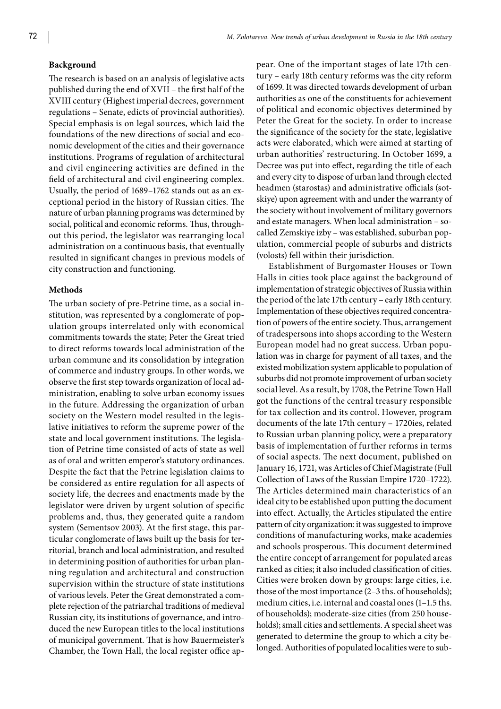#### **Background**

The research is based on an analysis of legislative acts published during the end of XVII – the first half of the XVIII century (Highest imperial decrees, government regulations – Senate, edicts of provincial authorities). Special emphasis is on legal sources, which laid the foundations of the new directions of social and economic development of the cities and their governance institutions. Programs of regulation of architectural and civil engineering activities are defined in the field of architectural and civil engineering complex. Usually, the period of 1689–1762 stands out as an exceptional period in the history of Russian cities. The nature of urban planning programs was determined by social, political and economic reforms. Thus, throughout this period, the legislator was rearranging local administration on a continuous basis, that eventually resulted in significant changes in previous models of city construction and functioning.

#### **Methods**

The urban society of pre-Petrine time, as a social institution, was represented by a conglomerate of population groups interrelated only with economical commitments towards the state; Peter the Great tried to direct reforms towards local administration of the urban commune and its consolidation by integration of commerce and industry groups. In other words, we observe the first step towards organization of local administration, enabling to solve urban economy issues in the future. Addressing the organization of urban society on the Western model resulted in the legislative initiatives to reform the supreme power of the state and local government institutions. The legislation of Petrine time consisted of acts of state as well as of oral and written emperor's statutory ordinances. Despite the fact that the Petrine legislation claims to be considered as entire regulation for all aspects of society life, the decrees and enactments made by the legislator were driven by urgent solution of specific problems and, thus, they generated quite a random system (Sementsov 2003). At the first stage, this particular conglomerate of laws built up the basis for territorial, branch and local administration, and resulted in determining position of authorities for urban planning regulation and architectural and construction supervision within the structure of state institutions of various levels. Peter the Great demonstrated a complete rejection of the patriarchal traditions of medieval Russian city, its institutions of governance, and introduced the new European titles to the local institutions of municipal government. That is how Bauermeister's Chamber, the Town Hall, the local register office appear. One of the important stages of late 17th century – early 18th century reforms was the city reform of 1699. It was directed towards development of urban authorities as one of the constituents for achievement of political and economic objectives determined by Peter the Great for the society. In order to increase the significance of the society for the state, legislative acts were elaborated, which were aimed at starting of urban authorities' restructuring. In October 1699, a Decree was put into effect, regarding the title of each and every city to dispose of urban land through elected headmen (starostas) and administrative officials (sotskiye) upon agreement with and under the warranty of the society without involvement of military governors and estate managers. When local administration – socalled Zemskiye izby – was established, suburban population, commercial people of suburbs and districts (volosts) fell within their jurisdiction.

Establishment of Burgomaster Houses or Town Halls in cities took place against the background of implementation of strategic objectives of Russia within the period of the late 17th century – early 18th century. Implementation of these objectives required concentration of powers of the entire society. Thus, arrangement of tradespersons into shops according to the Western European model had no great success. Urban population was in charge for payment of all taxes, and the existed mobilization system applicable to population of suburbs did not promote improvement of urban society social level. As a result, by 1708, the Petrine Town Hall got the functions of the central treasury responsible for tax collection and its control. However, program documents of the late 17th century – 1720ies, related to Russian urban planning policy, were a preparatory basis of implementation of further reforms in terms of social aspects. The next document, published on January 16, 1721, was Articles of Chief Magistrate (Full Collection of Laws of the Russian Empire 1720–1722). The Articles determined main characteristics of an ideal city to be established upon putting the document into effect. Actually, the Articles stipulated the entire pattern of city organization: it was suggested to improve conditions of manufacturing works, make academies and schools prosperous. This document determined the entire concept of arrangement for populated areas ranked as cities; it also included classification of cities. Cities were broken down by groups: large cities, i.e. those of the most importance (2–3 ths. of households); medium cities, i.e. internal and coastal ones (1–1.5 ths. of households); moderate-size cities (from 250 households); small cities and settlements. A special sheet was generated to determine the group to which a city belonged. Authorities of populated localities were to sub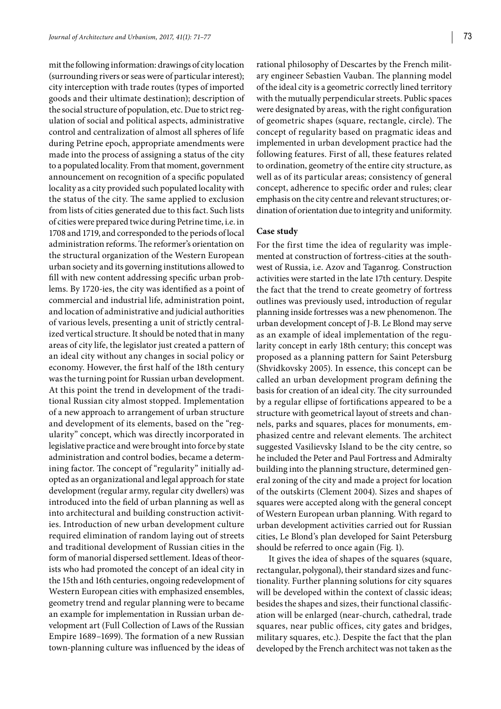mit the following information: drawings of city location (surrounding rivers or seas were of particular interest); city interception with trade routes (types of imported goods and their ultimate destination); description of the social structure of population, etc. Due to strict regulation of social and political aspects, administrative control and centralization of almost all spheres of life during Petrine epoch, appropriate amendments were made into the process of assigning a status of the city to a populated locality. From that moment, government announcement on recognition of a specific populated locality as a city provided such populated locality with the status of the city. The same applied to exclusion from lists of cities generated due to this fact. Such lists of cities were prepared twice during Petrine time, i.e. in 1708 and 1719, and corresponded to the periods of local administration reforms. The reformer's orientation on the structural organization of the Western European urban society and its governing institutions allowed to fill with new content addressing specific urban problems. By 1720-ies, the city was identified as a point of commercial and industrial life, administration point, and location of administrative and judicial authorities of various levels, presenting a unit of strictly centralized vertical structure. It should be noted that in many areas of city life, the legislator just created a pattern of an ideal city without any changes in social policy or economy. However, the first half of the 18th century was the turning point for Russian urban development. At this point the trend in development of the traditional Russian city almost stopped. Implementation of a new approach to arrangement of urban structure and development of its elements, based on the "regularity" concept, which was directly incorporated in legislative practice and were brought into force by state administration and control bodies, became a determining factor. The concept of "regularity" initially adopted as an organizational and legal approach for state development (regular army, regular city dwellers) was introduced into the field of urban planning as well as into architectural and building construction activities. Introduction of new urban development culture required elimination of random laying out of streets and traditional development of Russian cities in the form of manorial dispersed settlement. Ideas of theorists who had promoted the concept of an ideal city in the 15th and 16th centuries, ongoing redevelopment of Western European cities with emphasized ensembles, geometry trend and regular planning were to became an example for implementation in Russian urban development art (Full Collection of Laws of the Russian Empire 1689–1699). The formation of a new Russian town-planning culture was influenced by the ideas of rational philosophy of Descartes by the French military engineer Sebastien Vauban. The planning model of the ideal city is a geometric correctly lined territory with the mutually perpendicular streets. Public spaces were designated by areas, with the right configuration of geometric shapes (square, rectangle, circle). The concept of regularity based on pragmatic ideas and implemented in urban development practice had the following features. First of all, these features related to ordination, geometry of the entire city structure, as well as of its particular areas; consistency of general concept, adherence to specific order and rules; clear emphasis on the city centre and relevant structures; ordination of orientation due to integrity and uniformity.

#### **Case study**

For the first time the idea of regularity was implemented at construction of fortress-cities at the southwest of Russia, i.e. Azov and Taganrog. Construction activities were started in the late 17th century. Despite the fact that the trend to create geometry of fortress outlines was previously used, introduction of regular planning inside fortresses was a new phenomenon. The urban development concept of J-B. Le Blond may serve as an example of ideal implementation of the regularity concept in early 18th century; this concept was proposed as a planning pattern for Saint Petersburg (Shvidkovsky 2005). In essence, this concept can be called an urban development program defining the basis for creation of an ideal city. The city surrounded by a regular ellipse of fortifications appeared to be a structure with geometrical layout of streets and channels, parks and squares, places for monuments, emphasized centre and relevant elements. The architect suggested Vasilievsky Island to be the city centre, so he included the Peter and Paul Fortress and Admiralty building into the planning structure, determined general zoning of the city and made a project for location of the outskirts (Clement 2004). Sizes and shapes of squares were accepted along with the general concept of Western European urban planning. With regard to urban development activities carried out for Russian cities, Le Blond's plan developed for Saint Petersburg should be referred to once again (Fig. 1).

It gives the idea of shapes of the squares (square, rectangular, polygonal), their standard sizes and functionality. Further planning solutions for city squares will be developed within the context of classic ideas; besides the shapes and sizes, their functional classification will be enlarged (near-church, cathedral, trade squares, near public offices, city gates and bridges, military squares, etc.). Despite the fact that the plan developed by the French architect was not taken as the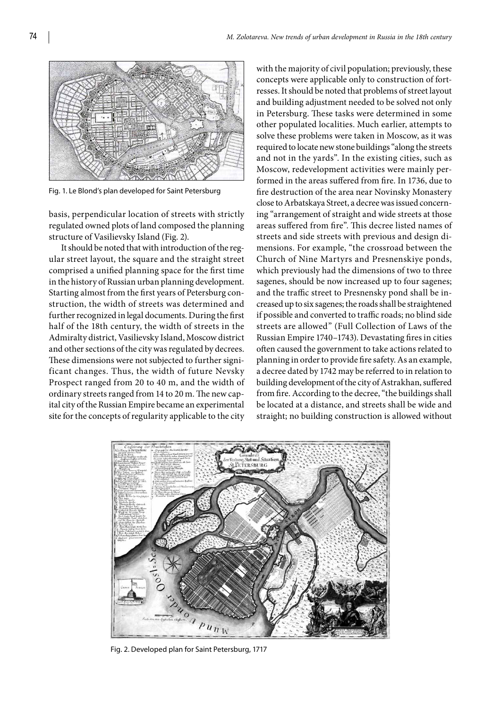

Fig. 1. Le Blond's plan developed for Saint Petersburg

basis, perpendicular location of streets with strictly regulated owned plots of land composed the planning structure of Vasilievsky Island (Fig. 2).

It should be noted that with introduction of the regular street layout, the square and the straight street comprised a unified planning space for the first time in the history of Russian urban planning development. Starting almost from the first years of Petersburg construction, the width of streets was determined and further recognized in legal documents. During the first half of the 18th century, the width of streets in the Admiralty district, Vasilievsky Island, Moscow district and other sections of the city was regulated by decrees. These dimensions were not subjected to further significant changes. Thus, the width of future Nevsky Prospect ranged from 20 to 40 m, and the width of ordinary streets ranged from 14 to 20 m. The new capital city of the Russian Empire became an experimental site for the concepts of regularity applicable to the city

with the majority of civil population; previously, these concepts were applicable only to construction of fortresses. It should be noted that problems of street layout and building adjustment needed to be solved not only in Petersburg. These tasks were determined in some other populated localities. Much earlier, attempts to solve these problems were taken in Moscow, as it was required to locate new stone buildings "along the streets and not in the yards". In the existing cities, such as Moscow, redevelopment activities were mainly performed in the areas suffered from fire. In 1736, due to fire destruction of the area near Novinsky Monastery close to Arbatskaya Street, a decree was issued concerning "arrangement of straight and wide streets at those areas suffered from fire". This decree listed names of streets and side streets with previous and design dimensions. For example, "the crossroad between the Church of Nine Martyrs and Presnenskiye ponds, which previously had the dimensions of two to three sagenes, should be now increased up to four sagenes; and the traffic street to Presnensky pond shall be increased up to six sagenes; the roads shall be straightened if possible and converted to traffic roads; no blind side streets are allowed" (Full Collection of Laws of the Russian Empire 1740–1743). Devastating fires in cities often caused the government to take actions related to planning in order to provide fire safety. As an example, a decree dated by 1742 may be referred to in relation to building development of the city of Astrakhan, suffered from fire. According to the decree, "the buildings shall be located at a distance, and streets shall be wide and straight; no building construction is allowed without



Fig. 2. Developed plan for Saint Petersburg, 1717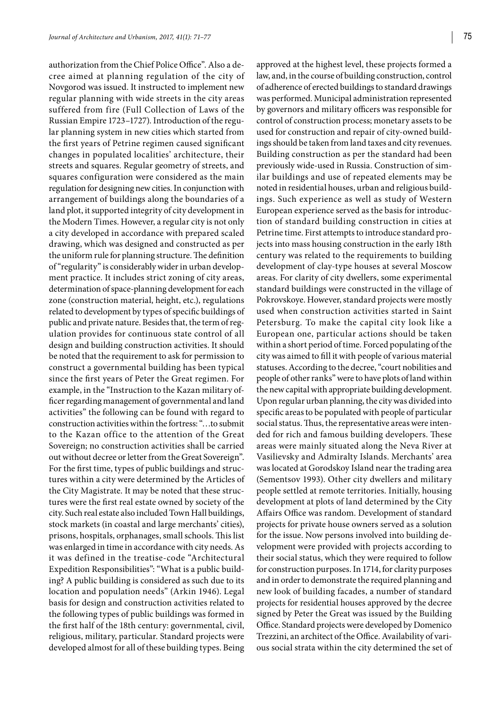authorization from the Chief Police Office". Also a decree aimed at planning regulation of the city of Novgorod was issued. It instructed to implement new regular planning with wide streets in the city areas suffered from fire (Full Collection of Laws of the Russian Empire 1723–1727). Introduction of the regular planning system in new cities which started from the first years of Petrine regimen caused significant changes in populated localities' architecture, their streets and squares. Regular geometry of streets, and squares configuration were considered as the main regulation for designing new cities. In conjunction with arrangement of buildings along the boundaries of a land plot, it supported integrity of city development in the Modern Times. However, a regular city is not only a city developed in accordance with prepared scaled drawing, which was designed and constructed as per the uniform rule for planning structure. The definition of "regularity" is considerably wider in urban development practice. It includes strict zoning of city areas, determination of space-planning development for each zone (construction material, height, etc.), regulations related to development by types of specific buildings of public and private nature. Besides that, the term of regulation provides for continuous state control of all design and building construction activities. It should be noted that the requirement to ask for permission to construct a governmental building has been typical since the first years of Peter the Great regimen. For example, in the "Instruction to the Kazan military officer regarding management of governmental and land activities" the following can be found with regard to construction activities within the fortress: "…to submit to the Kazan office to the attention of the Great Sovereign; no construction activities shall be carried out without decree or letter from the Great Sovereign". For the first time, types of public buildings and structures within a city were determined by the Articles of the City Magistrate. It may be noted that these structures were the first real estate owned by society of the city. Such real estate also included Town Hall buildings, stock markets (in coastal and large merchants' cities), prisons, hospitals, orphanages, small schools. This list was enlarged in time in accordance with city needs. As it was defined in the treatise-code "Architectural Expedition Responsibilities": "What is a public building? A public building is considered as such due to its location and population needs" (Arkin 1946). Legal basis for design and construction activities related to the following types of public buildings was formed in the first half of the 18th century: governmental, civil, religious, military, particular. Standard projects were developed almost for all of these building types. Being

approved at the highest level, these projects formed a law, and, in the course of building construction, control of adherence of erected buildings to standard drawings was performed. Municipal administration represented by governors and military officers was responsible for control of construction process; monetary assets to be used for construction and repair of city-owned buildings should be taken from land taxes and city revenues. Building construction as per the standard had been previously wide-used in Russia. Construction of similar buildings and use of repeated elements may be noted in residential houses, urban and religious buildings. Such experience as well as study of Western European experience served as the basis for introduction of standard building construction in cities at Petrine time. First attempts to introduce standard projects into mass housing construction in the early 18th century was related to the requirements to building development of clay-type houses at several Moscow areas. For clarity of city dwellers, some experimental standard buildings were constructed in the village of Pokrovskoye. However, standard projects were mostly used when construction activities started in Saint Petersburg. To make the capital city look like a European one, particular actions should be taken within a short period of time. Forced populating of the city was aimed to fill it with people of various material statuses. According to the decree, "court nobilities and people of other ranks" were to have plots of land within the new capital with appropriate building development. Upon regular urban planning, the city was divided into specific areas to be populated with people of particular social status. Thus, the representative areas were intended for rich and famous building developers. These areas were mainly situated along the Neva River at Vasilievsky and Admiralty Islands. Merchants' area was located at Gorodskoy Island near the trading area (Sementsov 1993). Other city dwellers and military people settled at remote territories. Initially, housing development at plots of land determined by the City Affairs Office was random. Development of standard projects for private house owners served as a solution for the issue. Now persons involved into building development were provided with projects according to their social status, which they were required to follow for construction purposes. In 1714, for clarity purposes and in order to demonstrate the required planning and new look of building facades, a number of standard projects for residential houses approved by the decree signed by Peter the Great was issued by the Building Office. Standard projects were developed by Domenico Trezzini, an architect of the Office. Availability of various social strata within the city determined the set of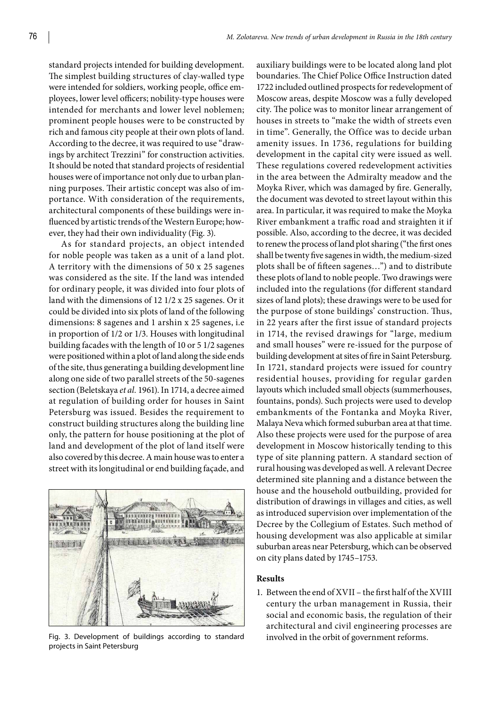standard projects intended for building development. The simplest building structures of clay-walled type were intended for soldiers, working people, office employees, lower level officers; nobility-type houses were intended for merchants and lower level noblemen; prominent people houses were to be constructed by rich and famous city people at their own plots of land. According to the decree, it was required to use "drawings by architect Trezzini" for construction activities. It should be noted that standard projects of residential houses were of importance not only due to urban planning purposes. Their artistic concept was also of importance. With consideration of the requirements, architectural components of these buildings were influenced by artistic trends of the Western Europe; however, they had their own individuality (Fig. 3).

As for standard projects, an object intended for noble people was taken as a unit of a land plot. A territory with the dimensions of 50 x 25 sagenes was considered as the site. If the land was intended for ordinary people, it was divided into four plots of land with the dimensions of 12 1/2 x 25 sagenes. Or it could be divided into six plots of land of the following dimensions: 8 sagenes and 1 arshin x 25 sagenes, i.e in proportion of 1/2 or 1/3. Houses with longitudinal building facades with the length of 10 or 5 1/2 sagenes were positioned within a plot of land along the side ends of the site, thus generating a building development line along one side of two parallel streets of the 50-sagenes section (Beletskaya *et al.* 1961). In 1714, a decree aimed at regulation of building order for houses in Saint Petersburg was issued. Besides the requirement to construct building structures along the building line only, the pattern for house positioning at the plot of land and development of the plot of land itself were also covered by this decree. A main house was to enter a street with its longitudinal or end building façade, and



Fig. 3. Development of buildings according to standard involved in the orbit of government reforms. projects in Saint Petersburg

auxiliary buildings were to be located along land plot boundaries. The Chief Police Office Instruction dated 1722 included outlined prospects for redevelopment of Moscow areas, despite Moscow was a fully developed city. The police was to monitor linear arrangement of houses in streets to "make the width of streets even in time". Generally, the Office was to decide urban amenity issues. In 1736, regulations for building development in the capital city were issued as well. These regulations covered redevelopment activities in the area between the Admiralty meadow and the Moyka River, which was damaged by fire. Generally, the document was devoted to street layout within this area. In particular, it was required to make the Moyka River embankment a traffic road and straighten it if possible. Also, according to the decree, it was decided to renew the process of land plot sharing ("the first ones shall be twenty five sagenes in width, the medium-sized plots shall be of fifteen sagenes…") and to distribute these plots of land to noble people. Two drawings were included into the regulations (for different standard sizes of land plots); these drawings were to be used for the purpose of stone buildings' construction. Thus, in 22 years after the first issue of standard projects in 1714, the revised drawings for "large, medium and small houses" were re-issued for the purpose of building development at sites of fire in Saint Petersburg. In 1721, standard projects were issued for country residential houses, providing for regular garden layouts which included small objects (summerhouses, fountains, ponds). Such projects were used to develop embankments of the Fontanka and Moyka River, Malaya Neva which formed suburban area at that time. Also these projects were used for the purpose of area development in Moscow historically tending to this type of site planning pattern. A standard section of rural housing was developed as well. A relevant Decree determined site planning and a distance between the house and the household outbuilding, provided for distribution of drawings in villages and cities, as well as introduced supervision over implementation of the Decree by the Collegium of Estates. Such method of housing development was also applicable at similar suburban areas near Petersburg, which can be observed on city plans dated by 1745–1753.

## **Results**

1. Between the end of XVII – the first half of the XVIII century the urban management in Russia, their social and economic basis, the regulation of their architectural and civil engineering processes are